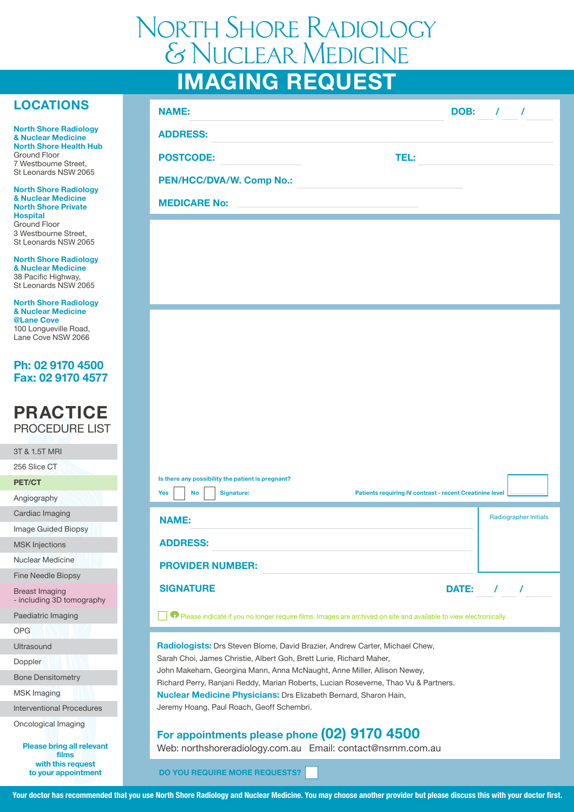# **IMAGING REQUEST** North Shore Radiology & Nuclear Medicine

## **LOCATIONS**

**North Shore Radiology & Nuclear Medicine North Shore Health Hub** Ground Floor 7 Westbourne Street, St Leonards NSW 2065

**North Shore Radiology & Nuclear Medicine North Shore Private Hospital**  Ground Floor 3 Westbourne Street, St Leonards NSW 2065

**North Shore Radiology & Nuclear Medicine**  38 Pacific Highway, St Leonards NSW 2065

**North Shore Radiology & Nuclear Medicine @Lane Cove**  100 Longueville Road, Lane Cove NSW 2066

## **Ph: 02 9170 4500 Fax: 02 9170 4577**

## **PRACTICE** PROCEDURE LIST

| 3T & 1.5T MRI                                      |  |  |
|----------------------------------------------------|--|--|
| 256 Slice CT                                       |  |  |
| <b>PET/CT</b>                                      |  |  |
| Angiography                                        |  |  |
| Cardiac Imaging                                    |  |  |
| <b>Image Guided Biopsy</b>                         |  |  |
| <b>MSK Injections</b>                              |  |  |
| Nuclear Medicine                                   |  |  |
| <b>Fine Needle Biopsy</b>                          |  |  |
| <b>Breast Imaging</b><br>- including 3D tomography |  |  |
| Paediatric Imaging                                 |  |  |
| OPG                                                |  |  |
| Ultrasound                                         |  |  |
| Doppler                                            |  |  |
| <b>Bone Densitometry</b>                           |  |  |
| <b>MSK Imaging</b>                                 |  |  |
| <b>Interventional Procedures</b>                   |  |  |
| Oncological Imaging                                |  |  |
| <b>Please bring all relevant</b><br>films          |  |  |

**with this request to your appointment** 

| <b>DOB:</b> /<br><b>TEL:</b> |
|------------------------------|
|                              |
|                              |
|                              |
|                              |
|                              |
|                              |
|                              |

| Is there any possibility the patient is pregnant?<br><b>Yes</b><br><b>Signature:</b><br><b>No</b> | Patients requiring IV contrast - recent Creatinine level |
|---------------------------------------------------------------------------------------------------|----------------------------------------------------------|
| <b>NAME:</b>                                                                                      | <b>Radiographer Initials</b>                             |
| <b>ADDRESS:</b>                                                                                   |                                                          |
| <b>PROVIDER NUMBER:</b>                                                                           |                                                          |
| <b>SIGNATURE</b>                                                                                  | <b>DATE:</b>                                             |

Please indicate if you no longer require films. Images are archived on site and available to view electronically.

**Radiologists:** Drs Steven Blome, David Brazier, Andrew Carter, Michael Chew, Sarah Choi, James Christie, Albert Goh, Brett Lurie, Richard Maher, John Makeham, Georgina Mann, Anna McNaught, Anne Miller, Allison Newey, Richard Perry, Ranjani Reddy, Marian Roberts, Lucian Roseverne, Thao Vu & Partners. **Nuclear Medicine Physicians:** Drs Elizabeth Bernard, Sharon Hain, Jeremy Hoang, Paul Roach, Geoff Schembri.

## **For appointments please phone (02) 9170 4500**

Web: northshoreradiology.com.au Email: contact@nsrnm.com.au

**DO YOU REQUIRE MORE REQUESTS?**